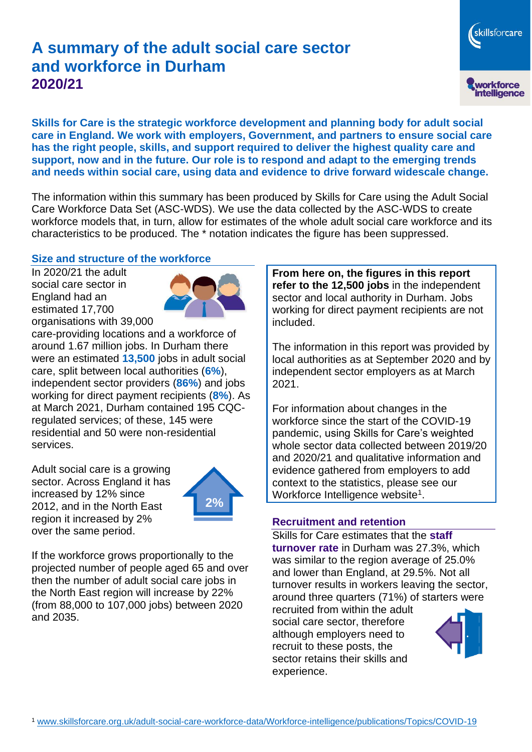# **A summary of the adult social care sector and workforce in Durham 2020/21**

**Skills for Care is the strategic workforce development and planning body for adult social care in England. We work with employers, Government, and partners to ensure social care has the right people, skills, and support required to deliver the highest quality care and support, now and in the future. Our role is to respond and adapt to the emerging trends and needs within social care, using data and evidence to drive forward widescale change.**

The information within this summary has been produced by Skills for Care using the Adult Social Care Workforce Data Set (ASC-WDS). We use the data collected by the ASC-WDS to create workforce models that, in turn, allow for estimates of the whole adult social care workforce and its characteristics to be produced. The \* notation indicates the figure has been suppressed.

#### **Size and structure of the workforce**

In 2020/21 the adult social care sector in England had an estimated 17,700 organisations with 39,000



care-providing locations and a workforce of around 1.67 million jobs. In Durham there were an estimated **13,500** jobs in adult social care, split between local authorities (**6%**), independent sector providers (**86%**) and jobs working for direct payment recipients (**8%**). As at March 2021, Durham contained 195 CQCregulated services; of these, 145 were residential and 50 were non-residential services.

Adult social care is a growing sector. Across England it has increased by 12% since 2012, and in the North East region it increased by 2% over the same period.



If the workforce grows proportionally to the projected number of people aged 65 and over then the number of adult social care jobs in the North East region will increase by 22% (from 88,000 to 107,000 jobs) between 2020 and 2035.

**From here on, the figures in this report refer to the 12,500 jobs** in the independent sector and local authority in Durham. Jobs working for direct payment recipients are not included.

The information in this report was provided by local authorities as at September 2020 and by independent sector employers as at March 2021.

For information about changes in the workforce since the start of the COVID-19 pandemic, using Skills for Care's weighted whole sector data collected between 2019/20 and 2020/21 and qualitative information and evidence gathered from employers to add context to the statistics, please see our Workforce Intelligence website<sup>1</sup>.

#### **Recruitment and retention**

Skills for Care estimates that the **staff turnover rate** in Durham was 27.3%, which was similar to the region average of 25.0% and lower than England, at 29.5%. Not all turnover results in workers leaving the sector, around three quarters (71%) of starters were

recruited from within the adult social care sector, therefore although employers need to recruit to these posts, the sector retains their skills and experience.



skillsforcare

workforce<br>intelligence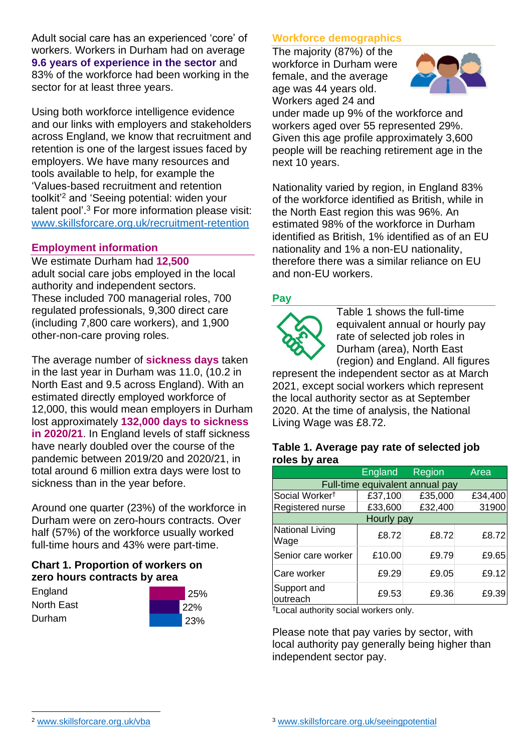Adult social care has an experienced 'core' of workers. Workers in Durham had on average **9.6 years of experience in the sector** and 83% of the workforce had been working in the sector for at least three years.

Using both workforce intelligence evidence and our links with employers and stakeholders across England, we know that recruitment and retention is one of the largest issues faced by employers. We have many resources and tools available to help, for example the 'Values-based recruitment and retention toolkit'<sup>2</sup> and 'Seeing potential: widen your talent pool'. <sup>3</sup> For more information please visit: [www.skillsforcare.org.uk/recruitment-retention](http://www.skillsforcare.org.uk/recruitment-retention)

#### **Employment information**

We estimate Durham had **12,500** adult social care jobs employed in the local authority and independent sectors. These included 700 managerial roles, 700 regulated professionals, 9,300 direct care (including 7,800 care workers), and 1,900 other-non-care proving roles.

The average number of **sickness days** taken in the last year in Durham was 11.0, (10.2 in North East and 9.5 across England). With an estimated directly employed workforce of 12,000, this would mean employers in Durham lost approximately **132,000 days to sickness in 2020/21**. In England levels of staff sickness have nearly doubled over the course of the pandemic between 2019/20 and 2020/21, in total around 6 million extra days were lost to sickness than in the year before.

Around one quarter (23%) of the workforce in Durham were on zero-hours contracts. Over half (57%) of the workforce usually worked full-time hours and 43% were part-time.

## **Chart 1. Proportion of workers on zero hours contracts by area**

**England** North East Durham



## **Workforce demographics**

The majority (87%) of the workforce in Durham were female, and the average age was 44 years old. Workers aged 24 and



under made up 9% of the workforce and workers aged over 55 represented 29%. Given this age profile approximately 3,600 people will be reaching retirement age in the next 10 years.

Nationality varied by region, in England 83% of the workforce identified as British, while in the North East region this was 96%. An estimated 98% of the workforce in Durham identified as British, 1% identified as of an EU nationality and 1% a non-EU nationality, therefore there was a similar reliance on EU and non-EU workers.

## **Pay**



Table 1 shows the full-time equivalent annual or hourly pay rate of selected job roles in Durham (area), North East (region) and England. All figures

represent the independent sector as at March 2021, except social workers which represent the local authority sector as at September 2020. At the time of analysis, the National Living Wage was £8.72.

#### **Table 1. Average pay rate of selected job roles by area**

|                                 | England | Region  | Area    |
|---------------------------------|---------|---------|---------|
| Full-time equivalent annual pay |         |         |         |
| Social Worker <sup>t</sup>      | £37,100 | £35,000 | £34,400 |
| Registered nurse                | £33,600 | £32,400 | 31900   |
| Hourly pay                      |         |         |         |
| National Living<br>Wage         | £8.72   | £8.72   | £8.72   |
| Senior care worker              | £10.00  | £9.79   | £9.65   |
| Care worker                     | £9.29   | £9.05   | £9.12   |
| Support and<br>outreach         | £9.53   | £9.36   | £9.39   |

†Local authority social workers only.

Please note that pay varies by sector, with local authority pay generally being higher than independent sector pay.

[www.skillsforcare.org.uk/vba](http://www.skillsforcare.org.uk/vba)